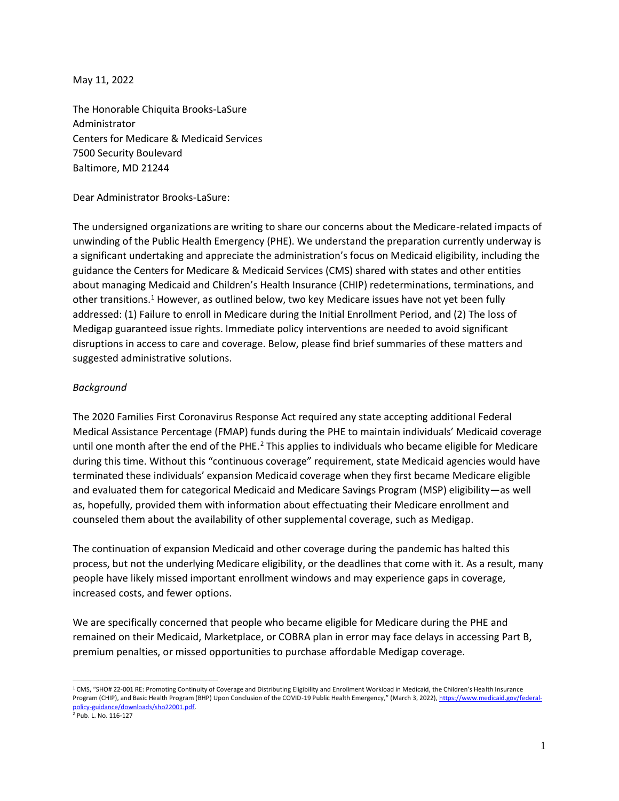May 11, 2022

The Honorable Chiquita Brooks-LaSure Administrator Centers for Medicare & Medicaid Services 7500 Security Boulevard Baltimore, MD 21244

Dear Administrator Brooks-LaSure:

The undersigned organizations are writing to share our concerns about the Medicare-related impacts of unwinding of the Public Health Emergency (PHE). We understand the preparation currently underway is a significant undertaking and appreciate the administration's focus on Medicaid eligibility, including the guidance the Centers for Medicare & Medicaid Services (CMS) shared with states and other entities about managing Medicaid and Children's Health Insurance (CHIP) redeterminations, terminations, and other transitions.<sup>1</sup> However, as outlined below, two key Medicare issues have not yet been fully addressed: (1) Failure to enroll in Medicare during the Initial Enrollment Period, and (2) The loss of Medigap guaranteed issue rights. Immediate policy interventions are needed to avoid significant disruptions in access to care and coverage. Below, please find brief summaries of these matters and suggested administrative solutions.

## *Background*

The 2020 Families First Coronavirus Response Act required any state accepting additional Federal Medical Assistance Percentage (FMAP) funds during the PHE to maintain individuals' Medicaid coverage until one month after the end of the PHE.<sup>2</sup> This applies to individuals who became eligible for Medicare during this time. Without this "continuous coverage" requirement, state Medicaid agencies would have terminated these individuals' expansion Medicaid coverage when they first became Medicare eligible and evaluated them for categorical Medicaid and Medicare Savings Program (MSP) eligibility—as well as, hopefully, provided them with information about effectuating their Medicare enrollment and counseled them about the availability of other supplemental coverage, such as Medigap.

The continuation of expansion Medicaid and other coverage during the pandemic has halted this process, but not the underlying Medicare eligibility, or the deadlines that come with it. As a result, many people have likely missed important enrollment windows and may experience gaps in coverage, increased costs, and fewer options.

We are specifically concerned that people who became eligible for Medicare during the PHE and remained on their Medicaid, Marketplace, or COBRA plan in error may face delays in accessing Part B, premium penalties, or missed opportunities to purchase affordable Medigap coverage.

 $1$  CMS, "SHO# 22-001 RE: Promoting Continuity of Coverage and Distributing Eligibility and Enrollment Workload in Medicaid, the Children's Health Insurance Program (CHIP), and Basic Health Program (BHP) Upon Conclusion of the COVID-19 Public Health Emergency," (March 3, 2022), [https://www.medicaid.gov/federal](https://www.medicaid.gov/federal-policy-guidance/downloads/sho22001.pdf)[policy-guidance/downloads/sho22001.pdf.](https://www.medicaid.gov/federal-policy-guidance/downloads/sho22001.pdf)

<sup>2</sup> Pub. L. No. 116-127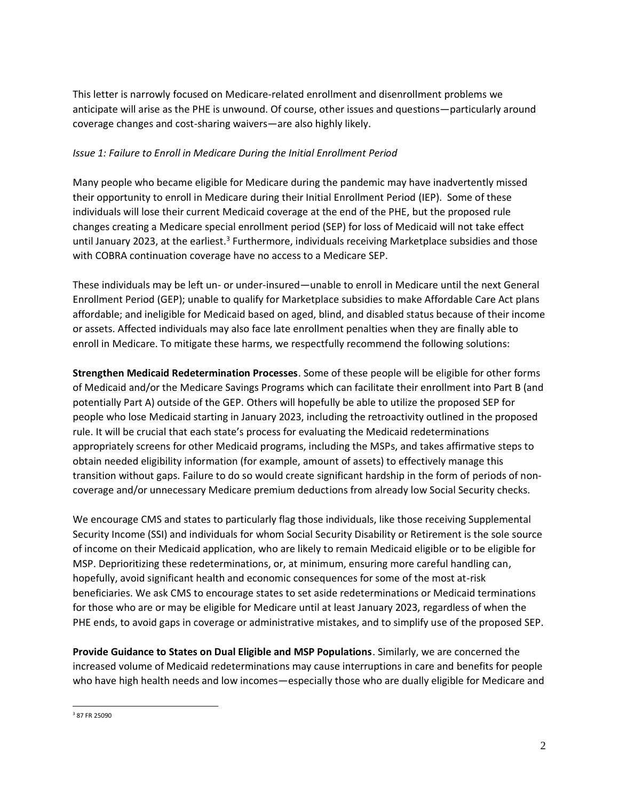This letter is narrowly focused on Medicare-related enrollment and disenrollment problems we anticipate will arise as the PHE is unwound. Of course, other issues and questions—particularly around coverage changes and cost-sharing waivers—are also highly likely.

## *Issue 1: Failure to Enroll in Medicare During the Initial Enrollment Period*

Many people who became eligible for Medicare during the pandemic may have inadvertently missed their opportunity to enroll in Medicare during their Initial Enrollment Period (IEP). Some of these individuals will lose their current Medicaid coverage at the end of the PHE, but the proposed rule changes creating a Medicare special enrollment period (SEP) for loss of Medicaid will not take effect until January 2023, at the earliest.<sup>3</sup> Furthermore, individuals receiving Marketplace subsidies and those with COBRA continuation coverage have no access to a Medicare SEP.

These individuals may be left un- or under-insured—unable to enroll in Medicare until the next General Enrollment Period (GEP); unable to qualify for Marketplace subsidies to make Affordable Care Act plans affordable; and ineligible for Medicaid based on aged, blind, and disabled status because of their income or assets. Affected individuals may also face late enrollment penalties when they are finally able to enroll in Medicare. To mitigate these harms, we respectfully recommend the following solutions:

**Strengthen Medicaid Redetermination Processes**. Some of these people will be eligible for other forms of Medicaid and/or the Medicare Savings Programs which can facilitate their enrollment into Part B (and potentially Part A) outside of the GEP. Others will hopefully be able to utilize the proposed SEP for people who lose Medicaid starting in January 2023, including the retroactivity outlined in the proposed rule. It will be crucial that each state's process for evaluating the Medicaid redeterminations appropriately screens for other Medicaid programs, including the MSPs, and takes affirmative steps to obtain needed eligibility information (for example, amount of assets) to effectively manage this transition without gaps. Failure to do so would create significant hardship in the form of periods of noncoverage and/or unnecessary Medicare premium deductions from already low Social Security checks.

We encourage CMS and states to particularly flag those individuals, like those receiving Supplemental Security Income (SSI) and individuals for whom Social Security Disability or Retirement is the sole source of income on their Medicaid application, who are likely to remain Medicaid eligible or to be eligible for MSP. Deprioritizing these redeterminations, or, at minimum, ensuring more careful handling can, hopefully, avoid significant health and economic consequences for some of the most at-risk beneficiaries. We ask CMS to encourage states to set aside redeterminations or Medicaid terminations for those who are or may be eligible for Medicare until at least January 2023, regardless of when the PHE ends, to avoid gaps in coverage or administrative mistakes, and to simplify use of the proposed SEP.

**Provide Guidance to States on Dual Eligible and MSP Populations**. Similarly, we are concerned the increased volume of Medicaid redeterminations may cause interruptions in care and benefits for people who have high health needs and low incomes—especially those who are dually eligible for Medicare and

<sup>3</sup> 87 FR 25090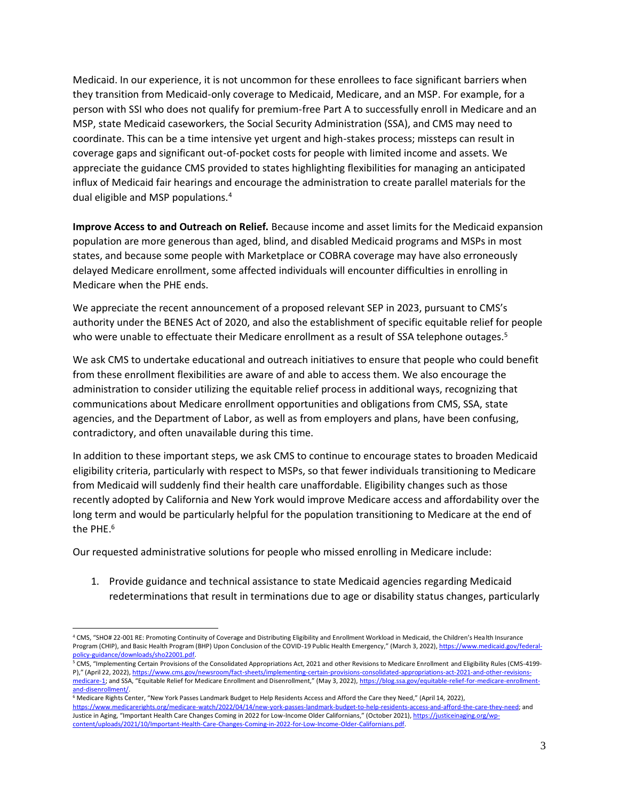Medicaid. In our experience, it is not uncommon for these enrollees to face significant barriers when they transition from Medicaid-only coverage to Medicaid, Medicare, and an MSP. For example, for a person with SSI who does not qualify for premium-free Part A to successfully enroll in Medicare and an MSP, state Medicaid caseworkers, the Social Security Administration (SSA), and CMS may need to coordinate. This can be a time intensive yet urgent and high-stakes process; missteps can result in coverage gaps and significant out-of-pocket costs for people with limited income and assets. We appreciate the guidance CMS provided to states highlighting flexibilities for managing an anticipated influx of Medicaid fair hearings and encourage the administration to create parallel materials for the dual eligible and MSP populations.<sup>4</sup>

**Improve Access to and Outreach on Relief.** Because income and asset limits for the Medicaid expansion population are more generous than aged, blind, and disabled Medicaid programs and MSPs in most states, and because some people with Marketplace or COBRA coverage may have also erroneously delayed Medicare enrollment, some affected individuals will encounter difficulties in enrolling in Medicare when the PHE ends.

We appreciate the recent announcement of a proposed relevant SEP in 2023, pursuant to CMS's authority under the BENES Act of 2020, and also the establishment of specific equitable relief for people who were unable to effectuate their Medicare enrollment as a result of SSA telephone outages.<sup>5</sup>

We ask CMS to undertake educational and outreach initiatives to ensure that people who could benefit from these enrollment flexibilities are aware of and able to access them. We also encourage the administration to consider utilizing the equitable relief process in additional ways, recognizing that communications about Medicare enrollment opportunities and obligations from CMS, SSA, state agencies, and the Department of Labor, as well as from employers and plans, have been confusing, contradictory, and often unavailable during this time.

In addition to these important steps, we ask CMS to continue to encourage states to broaden Medicaid eligibility criteria, particularly with respect to MSPs, so that fewer individuals transitioning to Medicare from Medicaid will suddenly find their health care unaffordable. Eligibility changes such as those recently adopted by California and New York would improve Medicare access and affordability over the long term and would be particularly helpful for the population transitioning to Medicare at the end of the PHE.<sup>6</sup>

Our requested administrative solutions for people who missed enrolling in Medicare include:

1. Provide guidance and technical assistance to state Medicaid agencies regarding Medicaid redeterminations that result in terminations due to age or disability status changes, particularly

<sup>4</sup> CMS, "SHO# 22-001 RE: Promoting Continuity of Coverage and Distributing Eligibility and Enrollment Workload in Medicaid, the Children's Health Insurance Program (CHIP), and Basic Health Program (BHP) Upon Conclusion of the COVID-19 Public Health Emergency," (March 3, 2022), [https://www.medicaid.gov/federal](https://www.medicaid.gov/federal-policy-guidance/downloads/sho22001.pdf)[policy-guidance/downloads/sho22001.pdf.](https://www.medicaid.gov/federal-policy-guidance/downloads/sho22001.pdf)

<sup>&</sup>lt;sup>5</sup> CMS, "Implementing Certain Provisions of the Consolidated Appropriations Act, 2021 and other Revisions to Medicare Enrollment and Eligibility Rules (CMS-4199-P)," (April 22, 2022), https://www.cms.gov/newsroom/fact-sheets/implementing-certain-provisions-consolidated-appropriations-act-2021[medicare-1](https://www.cms.gov/newsroom/fact-sheets/implementing-certain-provisions-consolidated-appropriations-act-2021-and-other-revisions-medicare-1); and SSA, "Equitable Relief for Medicare Enrollment and Disenrollment," (May 3, 2022), [https://blog.ssa.gov/equitable-relief-for-medicare-enrollment](https://blog.ssa.gov/equitable-relief-for-medicare-enrollment-and-disenrollment/)[and-disenrollment/.](https://blog.ssa.gov/equitable-relief-for-medicare-enrollment-and-disenrollment/)

<sup>6</sup> Medicare Rights Center, "New York Passes Landmark Budget to Help Residents Access and Afford the Care they Need," (April 14, 2022), [https://www.medicarerights.org/medicare-watch/2022/04/14/new-york-passes-landmark-budget-to-help-residents-access-and-afford-the-care-they-need;](https://www.medicarerights.org/medicare-watch/2022/04/14/new-york-passes-landmark-budget-to-help-residents-access-and-afford-the-care-they-need) and Justice in Aging, "Important Health Care Changes Coming in 2022 for Low-Income Older Californians," (October 2021)[, https://justiceinaging.org/wp](https://justiceinaging.org/wp-content/uploads/2021/10/Important-Health-Care-Changes-Coming-in-2022-for-Low-Income-Older-Californians.pdf)[content/uploads/2021/10/Important-Health-Care-Changes-Coming-in-2022-for-Low-Income-Older-Californians.pdf.](https://justiceinaging.org/wp-content/uploads/2021/10/Important-Health-Care-Changes-Coming-in-2022-for-Low-Income-Older-Californians.pdf)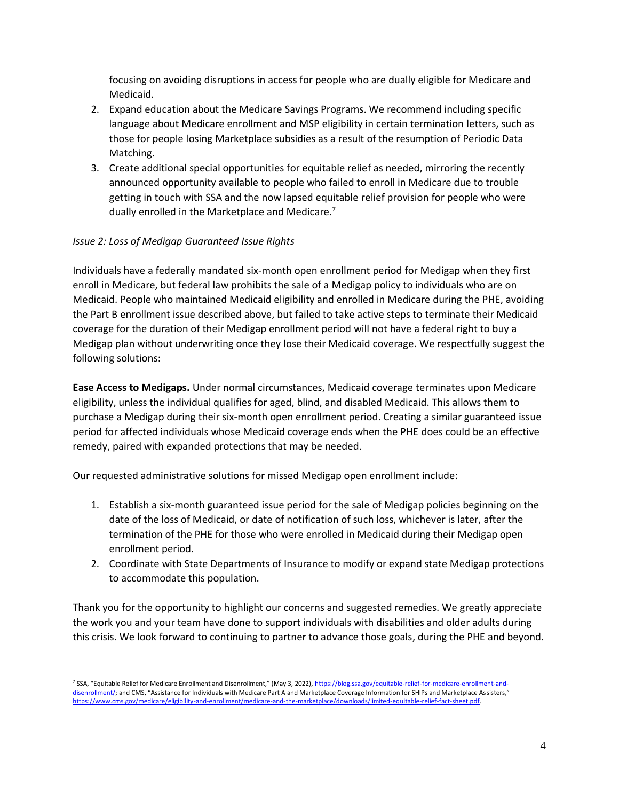focusing on avoiding disruptions in access for people who are dually eligible for Medicare and Medicaid.

- 2. Expand education about the Medicare Savings Programs. We recommend including specific language about Medicare enrollment and MSP eligibility in certain termination letters, such as those for people losing Marketplace subsidies as a result of the resumption of Periodic Data Matching.
- 3. Create additional special opportunities for equitable relief as needed, mirroring the recently announced opportunity available to people who failed to enroll in Medicare due to trouble getting in touch with SSA and the now lapsed equitable relief provision for people who were dually enrolled in the Marketplace and Medicare.<sup>7</sup>

## *Issue 2: Loss of Medigap Guaranteed Issue Rights*

Individuals have a federally mandated six-month open enrollment period for Medigap when they first enroll in Medicare, but federal law prohibits the sale of a Medigap policy to individuals who are on Medicaid. People who maintained Medicaid eligibility and enrolled in Medicare during the PHE, avoiding the Part B enrollment issue described above, but failed to take active steps to terminate their Medicaid coverage for the duration of their Medigap enrollment period will not have a federal right to buy a Medigap plan without underwriting once they lose their Medicaid coverage. We respectfully suggest the following solutions:

**Ease Access to Medigaps.** Under normal circumstances, Medicaid coverage terminates upon Medicare eligibility, unless the individual qualifies for aged, blind, and disabled Medicaid. This allows them to purchase a Medigap during their six-month open enrollment period. Creating a similar guaranteed issue period for affected individuals whose Medicaid coverage ends when the PHE does could be an effective remedy, paired with expanded protections that may be needed.

Our requested administrative solutions for missed Medigap open enrollment include:

- 1. Establish a six-month guaranteed issue period for the sale of Medigap policies beginning on the date of the loss of Medicaid, or date of notification of such loss, whichever is later, after the termination of the PHE for those who were enrolled in Medicaid during their Medigap open enrollment period.
- 2. Coordinate with State Departments of Insurance to modify or expand state Medigap protections to accommodate this population.

Thank you for the opportunity to highlight our concerns and suggested remedies. We greatly appreciate the work you and your team have done to support individuals with disabilities and older adults during this crisis. We look forward to continuing to partner to advance those goals, during the PHE and beyond.

<sup>&</sup>lt;sup>7</sup> SSA, "Equitable Relief for Medicare Enrollment and Disenrollment," (May 3, 2022), [https://blog.ssa.gov/equitable-relief-for-medicare-enrollment-and](https://blog.ssa.gov/equitable-relief-for-medicare-enrollment-and-disenrollment/)[disenrollment/](https://blog.ssa.gov/equitable-relief-for-medicare-enrollment-and-disenrollment/); and CMS, "Assistance for Individuals with Medicare Part A and Marketplace Coverage Information for SHIPs and Marketplace Assisters," [https://www.cms.gov/medicare/eligibility-and-enrollment/medicare-and-the-marketplace/downloads/limited-equitable-relief-fact-sheet.pdf.](https://www.cms.gov/medicare/eligibility-and-enrollment/medicare-and-the-marketplace/downloads/limited-equitable-relief-fact-sheet.pdf)